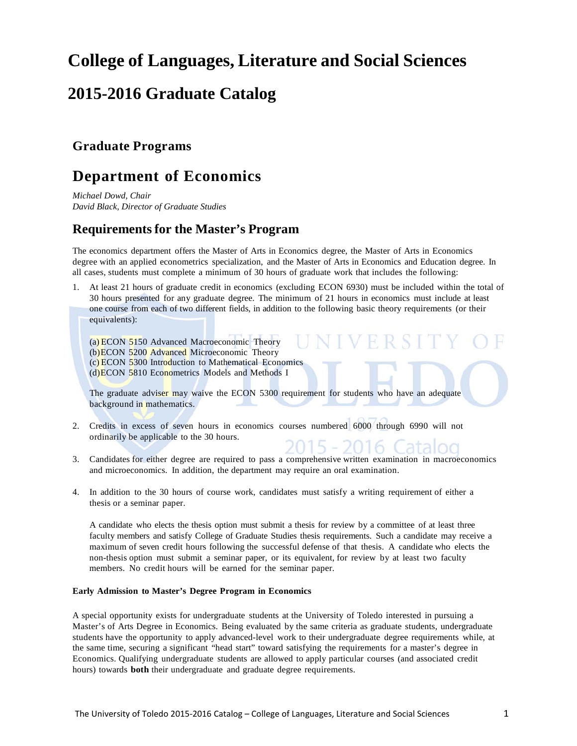# **College of Languages, Literature and Social Sciences**

# **2015-2016 Graduate Catalog**

## **Graduate Programs**

## **Department of Economics**

*Michael Dowd, Chair David Black, Director of Graduate Studies*

## **Requirements for the Master's Program**

The economics department offers the Master of Arts in Economics degree, the Master of Arts in Economics degree with an applied econometrics specialization, and the Master of Arts in Economics and Education degree. In all cases, students must complete a minimum of 30 hours of graduate work that includes the following:

1. At least 21 hours of graduate credit in economics (excluding ECON 6930) must be included within the total of 30 hours presented for any graduate degree. The minimum of 21 hours in economics must include at least one course from each of two different fields, in addition to the following basic theory requirements (or their equivalents):

ER STT

(a) ECON 5150 Advanced Macroeconomic Theory (b)ECON 5200 Advanced Microeconomic Theory (c) ECON 5300 Introduction to Mathematical Economics (d)ECON 5810 Econometrics Models and Methods I

The graduate adviser may waive the ECON 5300 requirement for students who have an adequate background in mathematics.

- 2. Credits in excess of seven hours in economics courses numbered 6000 through 6990 will not ordinarily be applicable to the 30 hours. 2015 - 2016 Catalog
- 3. Candidates for either degree are required to pass a comprehensive written examination in macroeconomics and microeconomics. In addition, the department may require an oral examination.
- 4. In addition to the 30 hours of course work, candidates must satisfy a writing requirement of either a thesis or a seminar paper.

A candidate who elects the thesis option must submit a thesis for review by a committee of at least three faculty members and satisfy College of Graduate Studies thesis requirements. Such a candidate may receive a maximum of seven credit hours following the successful defense of that thesis. A candidate who elects the non-thesis option must submit a seminar paper, or its equivalent, for review by at least two faculty members. No credit hours will be earned for the seminar paper.

### **Early Admission to Master's Degree Program in Economics**

A special opportunity exists for undergraduate students at the University of Toledo interested in pursuing a Master's of Arts Degree in Economics. Being evaluated by the same criteria as graduate students, undergraduate students have the opportunity to apply advanced-level work to their undergraduate degree requirements while, at the same time, securing a significant "head start" toward satisfying the requirements for a master's degree in Economics. Qualifying undergraduate students are allowed to apply particular courses (and associated credit hours) towards **both** their undergraduate and graduate degree requirements.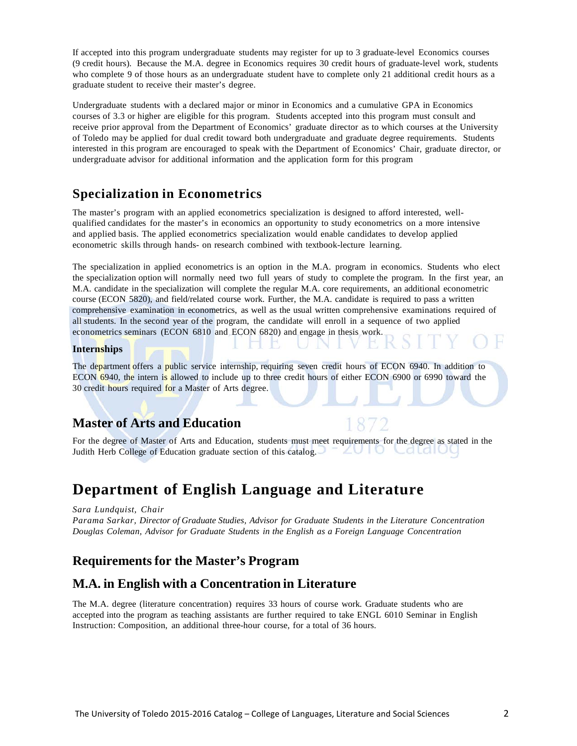If accepted into this program undergraduate students may register for up to 3 graduate-level Economics courses (9 credit hours). Because the M.A. degree in Economics requires 30 credit hours of graduate-level work, students who complete 9 of those hours as an undergraduate student have to complete only 21 additional credit hours as a graduate student to receive their master's degree.

Undergraduate students with a declared major or minor in Economics and a cumulative GPA in Economics courses of 3.3 or higher are eligible for this program. Students accepted into this program must consult and receive prior approval from the Department of Economics' graduate director as to which courses at the University of Toledo may be applied for dual credit toward both undergraduate and graduate degree requirements. Students interested in this program are encouraged to speak with the Department of Economics' Chair, graduate director, or undergraduate advisor for additional information and the application form for this program

## **Specialization in Econometrics**

The master's program with an applied econometrics specialization is designed to afford interested, wellqualified candidates for the master's in economics an opportunity to study econometrics on a more intensive and applied basis. The applied econometrics specialization would enable candidates to develop applied econometric skills through hands- on research combined with textbook-lecture learning.

The specialization in applied econometrics is an option in the M.A. program in economics. Students who elect the specialization option will normally need two full years of study to complete the program. In the first year, an M.A. candidate in the specialization will complete the regular M.A. core requirements, an additional econometric course (ECON 5820), and field/related course work. Further, the M.A. candidate is required to pass a written comprehensive examination in econometrics, as well as the usual written comprehensive examinations required of all students. In the second year of the program, the candidate will enroll in a sequence of two applied econometrics seminars (ECON 6810 and ECON 6820) and engage in thesis work.

### **Internships**

The department offers a public service internship, requiring seven credit hours of ECON 6940. In addition to ECON 6940, the intern is allowed to include up to three credit hours of either ECON 6900 or 6990 toward the 30 credit hours required for a Master of Arts degree.

## **Master of Arts and Education**

For the degree of Master of Arts and Education, students must meet requirements for the degree as stated in the ZUIU Judith Herb College of Education graduate section of this catalog. Calalut

## **Department of English Language and Literature**

*Sara Lundquist, Chair*

*Parama Sarkar, Director of Graduate Studies, Advisor for Graduate Students in the Literature Concentration Douglas Coleman, Advisor for Graduate Students in the English as a Foreign Language Concentration*

## **Requirements for the Master's Program**

### **M.A. in English with a Concentration in Literature**

The M.A. degree (literature concentration) requires 33 hours of course work. Graduate students who are accepted into the program as teaching assistants are further required to take ENGL 6010 Seminar in English Instruction: Composition, an additional three-hour course, for a total of 36 hours.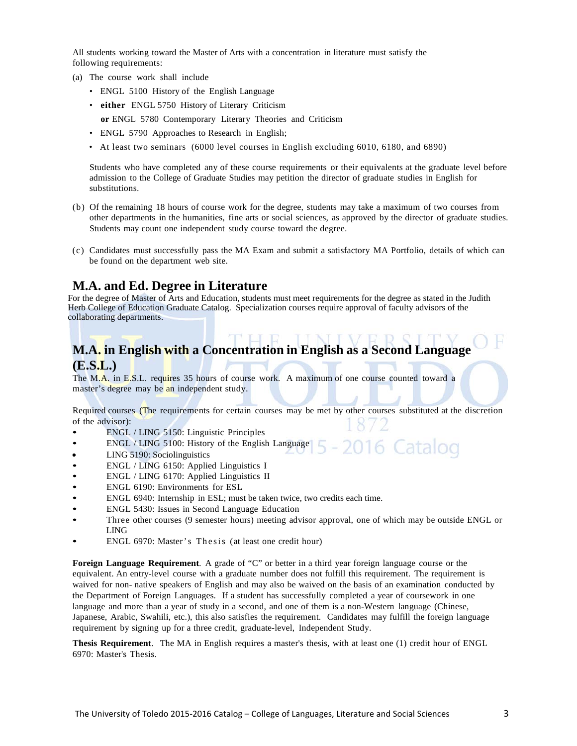All students working toward the Master of Arts with a concentration in literature must satisfy the following requirements:

- (a) The course work shall include
	- ENGL 5100 History of the English Language
	- **either** ENGL 5750 History of Literary Criticism
	- **or** ENGL 5780 Contemporary Literary Theories and Criticism
	- ENGL 5790 Approaches to Research in English;
	- At least two seminars (6000 level courses in English excluding 6010, 6180, and 6890)

Students who have completed any of these course requirements or their equivalents at the graduate level before admission to the College of Graduate Studies may petition the director of graduate studies in English for substitutions.

- (b) Of the remaining 18 hours of course work for the degree, students may take a maximum of two courses from other departments in the humanities, fine arts or social sciences, as approved by the director of graduate studies. Students may count one independent study course toward the degree.
- (c) Candidates must successfully pass the MA Exam and submit a satisfactory MA Portfolio, details of which can be found on the department web site.

### **M.A. and Ed. Degree in Literature**

For the degree of Master of Arts and Education, students must meet requirements for the degree as stated in the Judith Herb College of Education Graduate Catalog. Specialization courses require approval of faculty advisors of the collaborating departments.

## **M.A. in English with a Concentration in English as a Second Language (E.S.L.)**

The M.A. in E.S.L. requires 35 hours of course work. A maximum of one course counted toward a master's degree may be an independent study.

Required courses (The requirements for certain courses may be met by other courses substituted at the discretion of the advisor):

16 Catalog

- ENGL / LING 5150: Linguistic Principles
- ENGL / LING 5100: History of the English Language
- LING 5190: Sociolinguistics
- ENGL / LING 6150: Applied Linguistics I
- ENGL / LING 6170: Applied Linguistics II
- ENGL 6190: Environments for ESL
- ENGL 6940: Internship in ESL; must be taken twice, two credits each time.
- ENGL 5430: Issues in Second Language Education
- Three other courses (9 semester hours) meeting advisor approval, one of which may be outside ENGL or LING
- ENGL 6970: Master's Thesis (at least one credit hour)

**Foreign Language Requirement**. A grade of "C" or better in a third year foreign language course or the equivalent. An entry-level course with a graduate number does not fulfill this requirement. The requirement is waived for non- native speakers of English and may also be waived on the basis of an examination conducted by the Department of Foreign Languages. If a student has successfully completed a year of coursework in one language and more than a year of study in a second, and one of them is a non-Western language (Chinese, Japanese, Arabic, Swahili, etc.), this also satisfies the requirement. Candidates may fulfill the foreign language requirement by signing up for a three credit, graduate-level, Independent Study.

**Thesis Requirement**. The MA in English requires a master's thesis, with at least one (1) credit hour of ENGL 6970: Master's Thesis.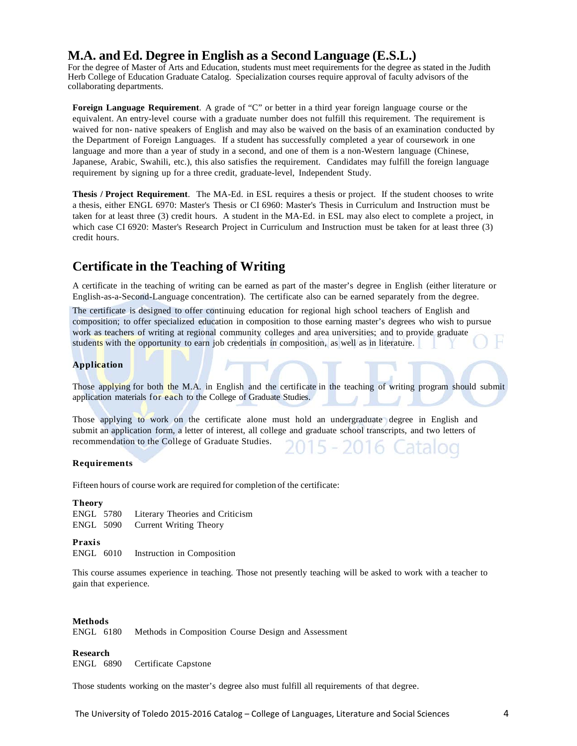## **M.A. and Ed. Degree in English as a Second Language (E.S.L.)**

For the degree of Master of Arts and Education, students must meet requirements for the degree as stated in the Judith Herb College of Education Graduate Catalog. Specialization courses require approval of faculty advisors of the collaborating departments.

**Foreign Language Requirement**. A grade of "C" or better in a third year foreign language course or the equivalent. An entry-level course with a graduate number does not fulfill this requirement. The requirement is waived for non- native speakers of English and may also be waived on the basis of an examination conducted by the Department of Foreign Languages. If a student has successfully completed a year of coursework in one language and more than a year of study in a second, and one of them is a non-Western language (Chinese, Japanese, Arabic, Swahili, etc.), this also satisfies the requirement. Candidates may fulfill the foreign language requirement by signing up for a three credit, graduate-level, Independent Study.

**Thesis / Project Requirement**. The MA-Ed. in ESL requires a thesis or project. If the student chooses to write a thesis, either ENGL 6970: Master's Thesis or CI 6960: Master's Thesis in Curriculum and Instruction must be taken for at least three (3) credit hours. A student in the MA-Ed. in ESL may also elect to complete a project, in which case CI 6920: Master's Research Project in Curriculum and Instruction must be taken for at least three (3) credit hours.

## **Certificate in the Teaching of Writing**

A certificate in the teaching of writing can be earned as part of the master's degree in English (either literature or English-as-a-Second-Language concentration). The certificate also can be earned separately from the degree.

The certificate is designed to offer continuing education for regional high school teachers of English and composition; to offer specialized education in composition to those earning master's degrees who wish to pursue work as teachers of writing at regional community colleges and area universities; and to provide graduate students with the opportunity to earn job credentials in composition, as well as in literature.

### **Application**

Those applying for both the M.A. in English and the certificate in the teaching of writing program should submit application materials for each to the College of Graduate Studies.

Those applying to work on the certificate alone must hold an undergraduate degree in English and submit an application form, a letter of interest, all college and graduate school transcripts, and two letters of recommendation to the College of Graduate Studies. 5 - 2016 Catalog

### **Requirements**

Fifteen hours of course work are required for completion of the certificate:

### **Theory**

ENGL 5780 Literary Theories and Criticism ENGL 5090 Current Writing Theory

**Praxis**

ENGL 6010 Instruction in Composition

This course assumes experience in teaching. Those not presently teaching will be asked to work with a teacher to gain that experience.

### **Methods**

ENGL 6180 Methods in Composition Course Design and Assessment

### **Research**

ENGL 6890 Certificate Capstone

Those students working on the master's degree also must fulfill all requirements of that degree.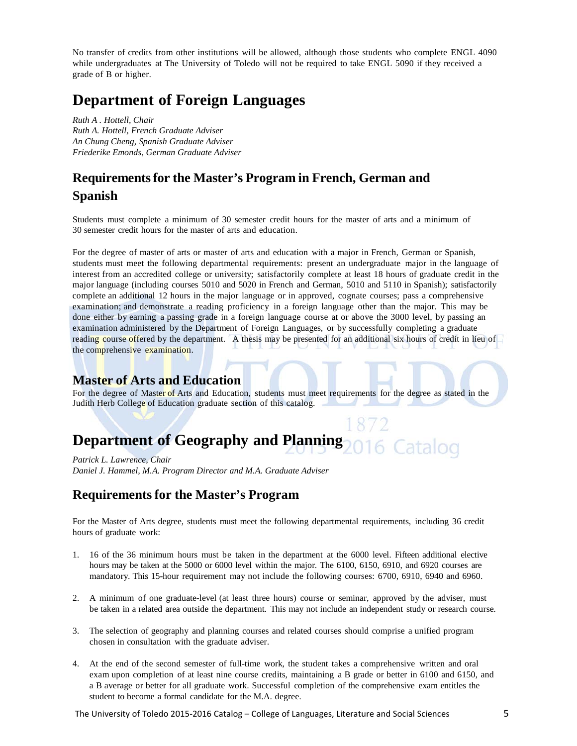No transfer of credits from other institutions will be allowed, although those students who complete ENGL 4090 while undergraduates at The University of Toledo will not be required to take ENGL 5090 if they received a grade of B or higher.

## **Department of Foreign Languages**

*Ruth A . Hottell, Chair Ruth A. Hottell, French Graduate Adviser An Chung Cheng, Spanish Graduate Adviser Friederike Emonds, German Graduate Adviser*

## **Requirementsfor the Master's Program in French, German and Spanish**

Students must complete a minimum of 30 semester credit hours for the master of arts and a minimum of 30 semester credit hours for the master of arts and education.

For the degree of master of arts or master of arts and education with a major in French, German or Spanish, students must meet the following departmental requirements: present an undergraduate major in the language of interest from an accredited college or university; satisfactorily complete at least 18 hours of graduate credit in the major language (including courses 5010 and 5020 in French and German, 5010 and 5110 in Spanish); satisfactorily complete an additional 12 hours in the major language or in approved, cognate courses; pass a comprehensive examination; and demonstrate a reading proficiency in a foreign language other than the major. This may be done either by earning a passing grade in a foreign language course at or above the 3000 level, by passing an examination administered by the Department of Foreign Languages, or by successfully completing a graduate reading course offered by the department. A thesis may be presented for an additional six hours of credit in lieu of the comprehensive examination.

### **Master of Arts and Education**

For the degree of Master of Arts and Education, students must meet requirements for the degree as stated in the Judith Herb College of Education graduate section of this catalog.

### **Department of Geography and Planning** 6 Catalog

*Patrick L. Lawrence, Chair Daniel J. Hammel, M.A. Program Director and M.A. Graduate Adviser*

## **Requirements for the Master's Program**

For the Master of Arts degree, students must meet the following departmental requirements, including 36 credit hours of graduate work:

- 1. 16 of the 36 minimum hours must be taken in the department at the 6000 level. Fifteen additional elective hours may be taken at the 5000 or 6000 level within the major. The 6100, 6150, 6910, and 6920 courses are mandatory. This 15-hour requirement may not include the following courses: 6700, 6910, 6940 and 6960.
- 2. A minimum of one graduate-level (at least three hours) course or seminar, approved by the adviser, must be taken in a related area outside the department. This may not include an independent study or research course.
- 3. The selection of geography and planning courses and related courses should comprise a unified program chosen in consultation with the graduate adviser.
- 4. At the end of the second semester of full-time work, the student takes a comprehensive written and oral exam upon completion of at least nine course credits, maintaining a B grade or better in 6100 and 6150, and a B average or better for all graduate work. Successful completion of the comprehensive exam entitles the student to become a formal candidate for the M.A. degree.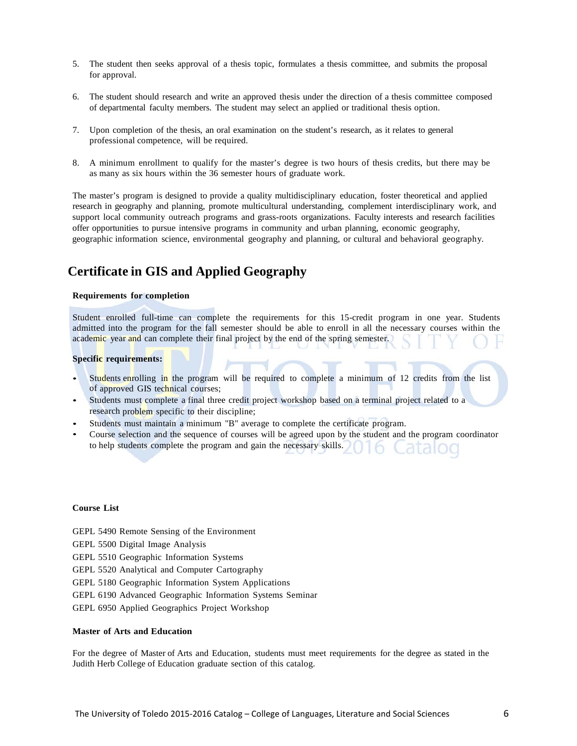- 5. The student then seeks approval of a thesis topic, formulates a thesis committee, and submits the proposal for approval.
- 6. The student should research and write an approved thesis under the direction of a thesis committee composed of departmental faculty members. The student may select an applied or traditional thesis option.
- 7. Upon completion of the thesis, an oral examination on the student's research, as it relates to general professional competence, will be required.
- 8. A minimum enrollment to qualify for the master's degree is two hours of thesis credits, but there may be as many as six hours within the 36 semester hours of graduate work.

The master's program is designed to provide a quality multidisciplinary education, foster theoretical and applied research in geography and planning, promote multicultural understanding, complement interdisciplinary work, and support local community outreach programs and grass-roots organizations. Faculty interests and research facilities offer opportunities to pursue intensive programs in community and urban planning, economic geography, geographic information science, environmental geography and planning, or cultural and behavioral geography.

## **Certificate in GIS and Applied Geography**

#### **Requirements for completion**

Student enrolled full-time can complete the requirements for this 15-credit program in one year. Students admitted into the program for the fall semester should be able to enroll in all the necessary courses within the academic year and can complete their final project by the end of the spring semester.

#### **Specific requirements:**

- Students enrolling in the program will be required to complete a minimum of 12 credits from the list of approved GIS technical courses;
- Students must complete a final three credit project workshop based on a terminal project related to a research problem specific to their discipline;
- Students must maintain a minimum "B" average to complete the certificate program.
- Course selection and the sequence of courses will be agreed upon by the student and the program coordinator to help students complete the program and gain the necessary skills.

### **Course List**

- GEPL 5490 Remote Sensing of the Environment
- GEPL 5500 Digital Image Analysis
- GEPL 5510 Geographic Information Systems
- GEPL 5520 Analytical and Computer Cartography
- GEPL 5180 Geographic Information System Applications
- GEPL 6190 Advanced Geographic Information Systems Seminar
- GEPL 6950 Applied Geographics Project Workshop

#### **Master of Arts and Education**

For the degree of Master of Arts and Education, students must meet requirements for the degree as stated in the Judith Herb College of Education graduate section of this catalog.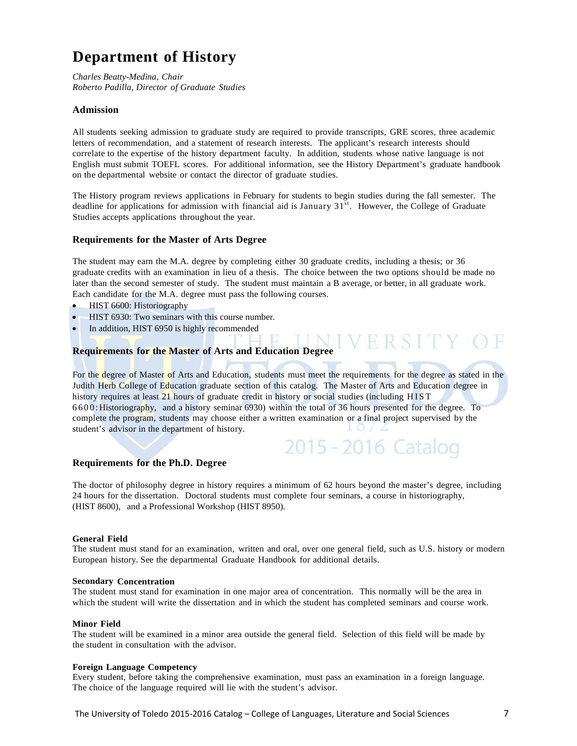# **Department of History**

*Charles Beatty-Medina, Chair Roberto Padilla, Director of Graduate Studies*

### **Admission**

All students seeking admission to graduate study are required to provide transcripts, GRE scores, three academic letters of recommendation, and a statement of research interests. The applicant's research interests should correlate to the expertise of the history department faculty. In addition, students whose native language is not English must submit TOEFL scores. For additional information, see the History Department's graduate handbook on the departmental website or contact the director of graduate studies.

The History program reviews applications in February for students to begin studies during the fall semester. The deadline for applications for admission with financial aid is January  $31<sup>st</sup>$ . However, the College of Graduate Studies accepts applications throughout the year.

### **Requirements for the Master of Arts Degree**

The student may earn the M.A. degree by completing either 30 graduate credits, including a thesis; or 36 graduate credits with an examination in lieu of a thesis. The choice between the two options should be made no later than the second semester of study. The student must maintain a B average, or better, in all graduate work. Each candidate for the M.A. degree must pass the following courses.

- HIST 6600: Historiography
- HIST 6930: Two seminars with this course number.
- In addition, HIST 6950 is highly recommended

### **Requirements for the Master of Arts and Education Degree**

For the degree of Master of Arts and Education, students must meet the requirements for the degree as stated in the Judith Herb College of Education graduate section of this catalog. The Master of Arts and Education degree in history requires at least 21 hours of graduate credit in history or social studies (including HIST 6600:Historiography, and a history seminar 6930) within the total of 36 hours presented for the degree. To complete the program, students may choose either a written examination or a final project supervised by the student's advisor in the department of history.

2015 - 2016 Catalog

### **Requirements for the Ph.D. Degree**

The doctor of philosophy degree in history requires a minimum of 62 hours beyond the master's degree, including 24 hours for the dissertation. Doctoral students must complete four seminars, a course in historiography, (HIST 8600), and a Professional Workshop (HIST 8950).

#### **General Field**

The student must stand for an examination, written and oral, over one general field, such as U.S. history or modern European history. See the departmental Graduate Handbook for additional details.

#### **Secondary Concentration**

The student must stand for examination in one major area of concentration. This normally will be the area in which the student will write the dissertation and in which the student has completed seminars and course work.

#### **Minor Field**

The student will be examined in a minor area outside the general field. Selection of this field will be made by the student in consultation with the advisor.

### **Foreign Language Competency**

Every student, before taking the comprehensive examination, must pass an examination in a foreign language. The choice of the language required will lie with the student's advisor.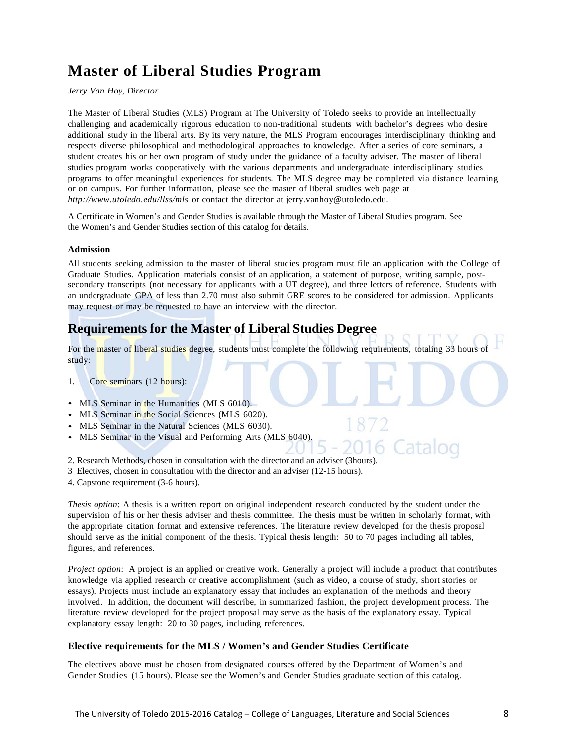# **Master of Liberal Studies Program**

*Jerry Van Hoy, Director*

The Master of Liberal Studies (MLS) Program at The University of Toledo seeks to provide an intellectually challenging and academically rigorous education to non-traditional students with bachelor's degrees who desire additional study in the liberal arts. By its very nature, the MLS Program encourages interdisciplinary thinking and respects diverse philosophical and methodological approaches to knowledge. After a series of core seminars, a student creates his or her own program of study under the guidance of a faculty adviser. The master of liberal studies program works cooperatively with the various departments and undergraduate interdisciplinary studies programs to offer meaningful experiences for students. The MLS degree may be completed via distance learning or on campus. For further information, please see the master of liberal studies web page at *<http://www.utoledo.edu/llss/mls>* or contact the director at [jerry.vanhoy@utoledo.edu.](mailto:jerry.vanhoy@utoledo.edu)

A Certificate in Women's and Gender Studies is available through the Master of Liberal Studies program. See the Women's and Gender Studies section of this catalog for details.

### **Admission**

All students seeking admission to the master of liberal studies program must file an application with the College of Graduate Studies. Application materials consist of an application, a statement of purpose, writing sample, postsecondary transcripts (not necessary for applicants with a UT degree), and three letters of reference. Students with an undergraduate GPA of less than 2.70 must also submit GRE scores to be considered for admission. Applicants may request or may be requested to have an interview with the director.

## **Requirements for the Master of Liberal Studies Degree**

For the master of liberal studies degree, students must complete the following requirements, totaling 33 hours of study:

- 1. Core seminars (12 hours):
- MLS Seminar in the Humanities (MLS 6010).
- MLS Seminar in the Social Sciences (MLS 6020).
- MLS Seminar in the Natural Sciences (MLS 6030).
- MLS Seminar in the Visual and Performing Arts (MLS 6040).
- 2. Research Methods, chosen in consultation with the director and an adviser (3hours).
- 3 Electives, chosen in consultation with the director and an adviser (12-15 hours).
- 4. Capstone requirement (3-6 hours).

*Thesis option*: A thesis is a written report on original independent research conducted by the student under the supervision of his or her thesis adviser and thesis committee. The thesis must be written in scholarly format, with the appropriate citation format and extensive references. The literature review developed for the thesis proposal should serve as the initial component of the thesis. Typical thesis length: 50 to 70 pages including all tables, figures, and references.

*Project option*: A project is an applied or creative work. Generally a project will include a product that contributes knowledge via applied research or creative accomplishment (such as video, a course of study, short stories or essays). Projects must include an explanatory essay that includes an explanation of the methods and theory involved. In addition, the document will describe, in summarized fashion, the project development process. The literature review developed for the project proposal may serve as the basis of the explanatory essay. Typical explanatory essay length: 20 to 30 pages, including references.

### **Elective requirements for the MLS / Women's and Gender Studies Certificate**

The electives above must be chosen from designated courses offered by the Department of Women's and Gender Studies (15 hours). Please see the Women's and Gender Studies graduate section of this catalog.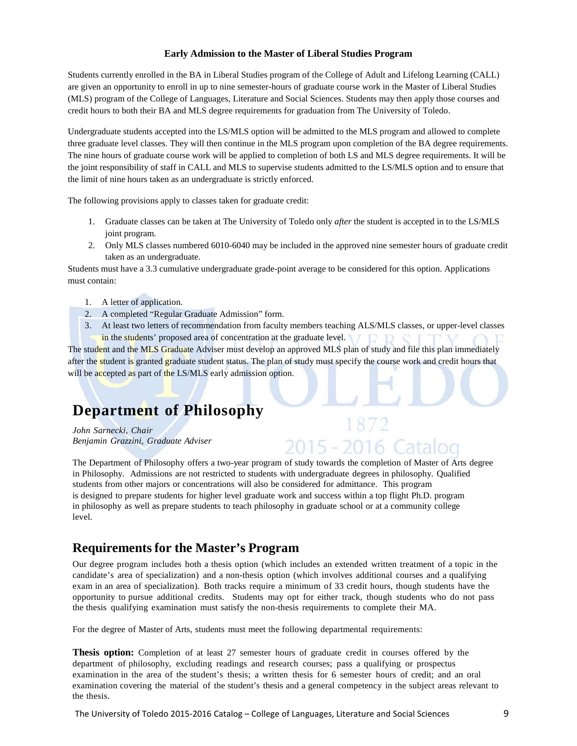### **Early Admission to the Master of Liberal Studies Program**

Students currently enrolled in the BA in Liberal Studies program of the College of Adult and Lifelong Learning (CALL) are given an opportunity to enroll in up to nine semester-hours of graduate course work in the Master of Liberal Studies (MLS) program of the College of Languages, Literature and Social Sciences. Students may then apply those courses and credit hours to both their BA and MLS degree requirements for graduation from The University of Toledo.

Undergraduate students accepted into the LS/MLS option will be admitted to the MLS program and allowed to complete three graduate level classes. They will then continue in the MLS program upon completion of the BA degree requirements. The nine hours of graduate course work will be applied to completion of both LS and MLS degree requirements. It will be the joint responsibility of staff in CALL and MLS to supervise students admitted to the LS/MLS option and to ensure that the limit of nine hours taken as an undergraduate is strictly enforced.

The following provisions apply to classes taken for graduate credit:

- 1. Graduate classes can be taken at The University of Toledo only *after* the student is accepted in to the LS/MLS joint program*.*
- 2. Only MLS classes numbered 6010-6040 may be included in the approved nine semester hours of graduate credit taken as an undergraduate.

Students must have a 3.3 cumulative undergraduate grade-point average to be considered for this option. Applications must contain:

- 1. A letter of application.
- 2. A completed "Regular Graduate Admission" form.
- 3. At least two letters of recommendation from faculty members teaching ALS/MLS classes, or upper-level classes

2015 - 2016 Cata

in the students' proposed area of concentration at the graduate level.

The student and the MLS Graduate Adviser must develop an approved MLS plan of study and file this plan immediately after the student is granted graduate student status. The plan of study must specify the course work and credit hours that will be accepted as part of the LS/MLS early admission option.

## **Department of Philosophy**

*John Sarnecki, Chair Benjamin Grazzini, Graduate Adviser*

### The Department of Philosophy offers a two-year program of study towards the completion of Master of Arts degree in Philosophy. Admissions are not restricted to students with undergraduate degrees in philosophy. Qualified students from other majors or concentrations will also be considered for admittance. This program is designed to prepare students for higher level graduate work and success within a top flight Ph.D. program in philosophy as well as prepare students to teach philosophy in graduate school or at a community college level.

## **Requirements for the Master's Program**

Our degree program includes both a thesis option (which includes an extended written treatment of a topic in the candidate's area of specialization) and a non-thesis option (which involves additional courses and a qualifying exam in an area of specialization). Both tracks require a minimum of 33 credit hours, though students have the opportunity to pursue additional credits. Students may opt for either track, though students who do not pass the thesis qualifying examination must satisfy the non-thesis requirements to complete their MA.

For the degree of Master of Arts, students must meet the following departmental requirements:

**Thesis option:** Completion of at least 27 semester hours of graduate credit in courses offered by the department of philosophy, excluding readings and research courses; pass a qualifying or prospectus examination in the area of the student's thesis; a written thesis for 6 semester hours of credit; and an oral examination covering the material of the student's thesis and a general competency in the subject areas relevant to the thesis.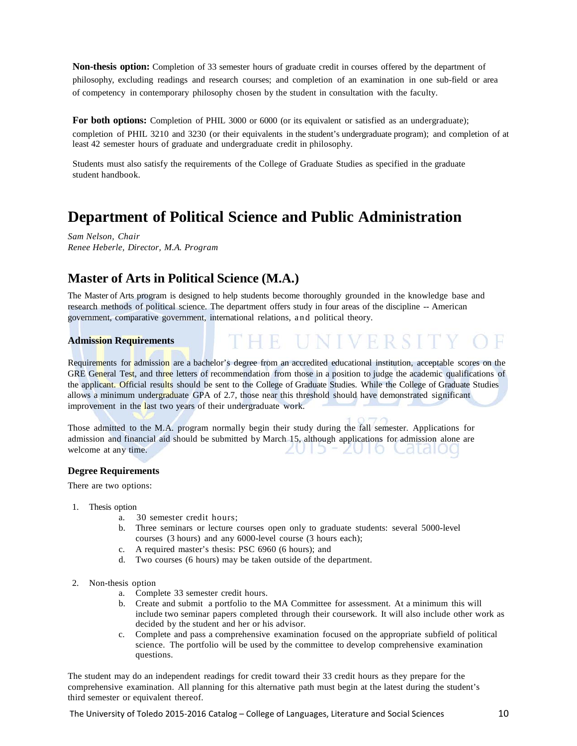**Non-thesis option:** Completion of 33 semester hours of graduate credit in courses offered by the department of philosophy, excluding readings and research courses; and completion of an examination in one sub-field or area of competency in contemporary philosophy chosen by the student in consultation with the faculty.

**For both options:** Completion of PHIL 3000 or 6000 (or its equivalent or satisfied as an undergraduate); completion of PHIL 3210 and 3230 (or their equivalents in the student's undergraduate program); and completion of at least 42 semester hours of graduate and undergraduate credit in philosophy.

Students must also satisfy the requirements of the College of Graduate Studies as specified in the graduate student handbook.

# **Department of Political Science and Public Administration**

*Sam Nelson, Chair Renee Heberle, Director, M.A. Program*

## **Master of Arts in Political Science (M.A.)**

The Master of Arts program is designed to help students become thoroughly grounded in the knowledge base and research methods of political science. The department offers study in four areas of the discipline -- American government, comparative government, international relations, and political theory.

### **Admission Requirements**

Requirements for admission are a bachelor's degree from an accredited educational institution, acceptable scores on the GRE General Test, and three letters of recommendation from those in a position to judge the academic qualifications of the applicant. Official results should be sent to the College of Graduate Studies. While the College of Graduate Studies allows a minimum undergraduate GPA of 2.7, those near this threshold should have demonstrated significant improvement in the last two years of their undergraduate work.

THE UNIVERSIT

Those admitted to the M.A. program normally begin their study during the fall semester. Applications for admission and financial aid should be submitted by March 15, although applications for admission alone are welcome at any time. ZUTD - ZUTO Catalog

### **Degree Requirements**

There are two options:

- 1. Thesis option
	- a. 30 semester credit hours;
	- b. Three seminars or lecture courses open only to graduate students: several 5000-level courses (3 hours) and any 6000-level course (3 hours each);
	- c. A required master's thesis: PSC 6960 (6 hours); and
	- d. Two courses (6 hours) may be taken outside of the department.
- 2. Non-thesis option
	- a. Complete 33 semester credit hours.
	- b. Create and submit a portfolio to the MA Committee for assessment. At a minimum this will include two seminar papers completed through their coursework. It will also include other work as decided by the student and her or his advisor.
	- c. Complete and pass a comprehensive examination focused on the appropriate subfield of political science. The portfolio will be used by the committee to develop comprehensive examination questions.

The student may do an independent readings for credit toward their 33 credit hours as they prepare for the comprehensive examination. All planning for this alternative path must begin at the latest during the student's third semester or equivalent thereof.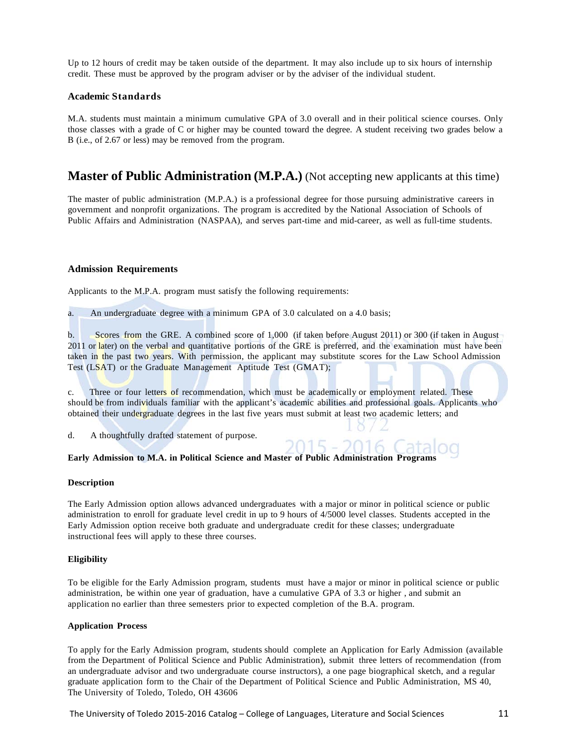Up to 12 hours of credit may be taken outside of the department. It may also include up to six hours of internship credit. These must be approved by the program adviser or by the adviser of the individual student.

#### **Academic Standards**

M.A. students must maintain a minimum cumulative GPA of 3.0 overall and in their political science courses. Only those classes with a grade of C or higher may be counted toward the degree. A student receiving two grades below a B (i.e., of 2.67 or less) may be removed from the program.

### **Master of Public Administration (M.P.A.)** (Not accepting new applicants at this time)

The master of public administration (M.P.A.) is a professional degree for those pursuing administrative careers in government and nonprofit organizations. The program is accredited by the National Association of Schools of Public Affairs and Administration (NASPAA), and serves part-time and mid-career, as well as full-time students.

#### **Admission Requirements**

Applicants to the M.P.A. program must satisfy the following requirements:

a. An undergraduate degree with a minimum GPA of 3.0 calculated on a 4.0 basis;

b. Scores from the GRE. A combined score of 1,000 (if taken before August 2011) or 300 (if taken in August 2011 or later) on the verbal and quantitative portions of the GRE is preferred, and the examination must have been taken in the past two years. With permission, the applicant may substitute scores for the Law School Admission Test (LSAT) or the Graduate Management Aptitude Test (GMAT);

c. Three or four letters of recommendation, which must be academically or employment related. These should be from individuals familiar with the applicant's academic abilities and professional goals. Applicants who obtained their undergraduate degrees in the last five years must submit at least two academic letters; and

2015 -

d. A thoughtfully drafted statement of purpose.

#### **Early Admission to M.A. in Political Science and Master of Public Administration Programs**

#### **Description**

The Early Admission option allows advanced undergraduates with a major or minor in political science or public administration to enroll for graduate level credit in up to 9 hours of 4/5000 level classes. Students accepted in the Early Admission option receive both graduate and undergraduate credit for these classes; undergraduate instructional fees will apply to these three courses.

#### **Eligibility**

To be eligible for the Early Admission program, students must have a major or minor in political science or public administration, be within one year of graduation, have a cumulative GPA of 3.3 or higher , and submit an application no earlier than three semesters prior to expected completion of the B.A. program.

#### **Application Process**

To apply for the Early Admission program, students should complete an Application for Early Admission (available from the Department of Political Science and Public Administration), submit three letters of recommendation (from an undergraduate advisor and two undergraduate course instructors), a one page biographical sketch, and a regular graduate application form to the Chair of the Department of Political Science and Public Administration, MS 40, The University of Toledo, Toledo, OH 43606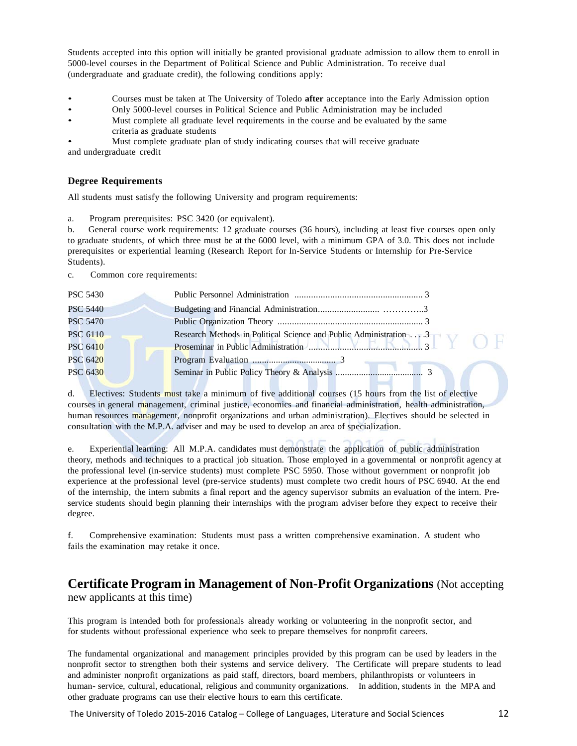Students accepted into this option will initially be granted provisional graduate admission to allow them to enroll in 5000-level courses in the Department of Political Science and Public Administration. To receive dual (undergraduate and graduate credit), the following conditions apply:

- Courses must be taken at The University of Toledo **after** acceptance into the Early Admission option
- Only 5000-level courses in Political Science and Public Administration may be included
- Must complete all graduate level requirements in the course and be evaluated by the same criteria as graduate students

• Must complete graduate plan of study indicating courses that will receive graduate and undergraduate credit

### **Degree Requirements**

All students must satisfy the following University and program requirements:

a. Program prerequisites: PSC 3420 (or equivalent).

b. General course work requirements: 12 graduate courses (36 hours), including at least five courses open only to graduate students, of which three must be at the 6000 level, with a minimum GPA of 3.0. This does not include prerequisites or experiential learning (Research Report for In-Service Students or Internship for Pre-Service Students).

c. Common core requirements:

| <b>PSC 5430</b> |                                                                   |
|-----------------|-------------------------------------------------------------------|
| <b>PSC 5440</b> |                                                                   |
| <b>PSC 5470</b> |                                                                   |
| <b>PSC 6110</b> | Research Methods in Political Science and Public Administration 3 |
| <b>PSC 6410</b> |                                                                   |
| <b>PSC 6420</b> |                                                                   |
| <b>PSC 6430</b> |                                                                   |
|                 |                                                                   |

d. Electives: Students must take a minimum of five additional courses (15 hours from the list of elective courses in general management, criminal justice, economics and financial administration, health administration, human resources management, nonprofit organizations and urban administration). Electives should be selected in consultation with the M.P.A. adviser and may be used to develop an area of specialization.

e. Experiential learning: All M.P.A. candidates must demonstrate the application of public administration theory, methods and techniques to a practical job situation. Those employed in a governmental or nonprofit agency at the professional level (in-service students) must complete PSC 5950. Those without government or nonprofit job experience at the professional level (pre-service students) must complete two credit hours of PSC 6940. At the end of the internship, the intern submits a final report and the agency supervisor submits an evaluation of the intern. Preservice students should begin planning their internships with the program adviser before they expect to receive their degree.

f. Comprehensive examination: Students must pass a written comprehensive examination. A student who fails the examination may retake it once.

# **Certificate Program in Management of Non-Profit Organizations** (Not accepting

new applicants at this time)

This program is intended both for professionals already working or volunteering in the nonprofit sector, and for students without professional experience who seek to prepare themselves for nonprofit careers.

The fundamental organizational and management principles provided by this program can be used by leaders in the nonprofit sector to strengthen both their systems and service delivery. The Certificate will prepare students to lead and administer nonprofit organizations as paid staff, directors, board members, philanthropists or volunteers in human- service, cultural, educational, religious and community organizations. In addition, students in the MPA and other graduate programs can use their elective hours to earn this certificate.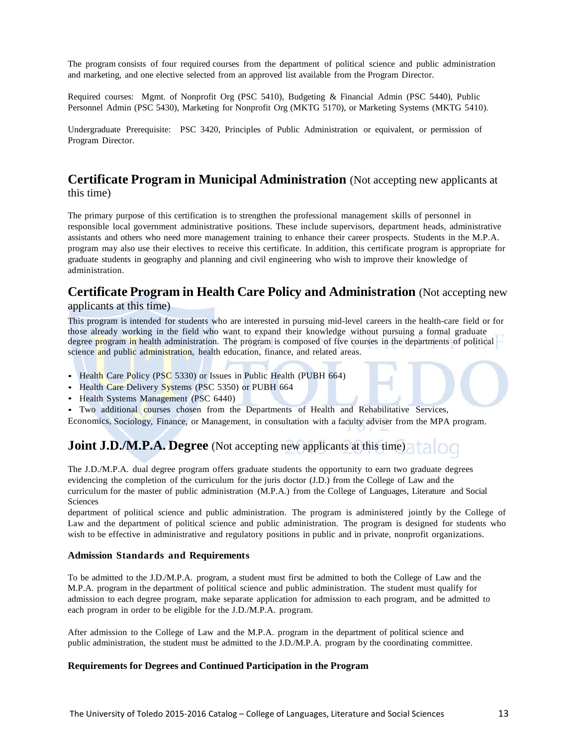The program consists of four required courses from the department of political science and public administration and marketing, and one elective selected from an approved list available from the Program Director.

Required courses: Mgmt. of Nonprofit Org (PSC 5410), Budgeting & Financial Admin (PSC 5440), Public Personnel Admin (PSC 5430), Marketing for Nonprofit Org (MKTG 5170), or Marketing Systems (MKTG 5410).

Undergraduate Prerequisite: PSC 3420, Principles of Public Administration or equivalent, or permission of Program Director.

### **Certificate Program in Municipal Administration** (Not accepting new applicants at this time)

The primary purpose of this certification is to strengthen the professional management skills of personnel in responsible local government administrative positions. These include supervisors, department heads, administrative assistants and others who need more management training to enhance their career prospects. Students in the M.P.A. program may also use their electives to receive this certificate. In addition, this certificate program is appropriate for graduate students in geography and planning and civil engineering who wish to improve their knowledge of administration.

### **Certificate Program in Health Care Policy and Administration** (Not accepting new applicants at this time)

This program is intended for students who are interested in pursuing mid-level careers in the health-care field or for those already working in the field who want to expand their knowledge without pursuing a formal graduate degree program in health administration. The program is composed of five courses in the departments of political  $\overline{\phantom{a}}$ science and public administration, health education, finance, and related areas.

- Health Care Policy (PSC 5330) or Issues in Public Health (PUBH 664)
- Health Care Delivery Systems (PSC 5350) or PUBH 664
- Health Systems Management (PSC 6440)
- Two additional courses chosen from the Departments of Health and Rehabilitative Services,

Economics, Sociology, Finance, or Management, in consultation with a faculty adviser from the MPA program.

## **Joint J.D./M.P.A. Degree** (Not accepting new applicants at this time)

The J.D./M.P.A. dual degree program offers graduate students the opportunity to earn two graduate degrees evidencing the completion of the curriculum for the juris doctor (J.D.) from the College of Law and the curriculum for the master of public administration (M.P.A.) from the College of Languages, Literature and Social Sciences

department of political science and public administration. The program is administered jointly by the College of Law and the department of political science and public administration. The program is designed for students who wish to be effective in administrative and regulatory positions in public and in private, nonprofit organizations.

### **Admission Standards and Requirements**

To be admitted to the J.D./M.P.A. program, a student must first be admitted to both the College of Law and the M.P.A. program in the department of political science and public administration. The student must qualify for admission to each degree program, make separate application for admission to each program, and be admitted to each program in order to be eligible for the J.D./M.P.A. program.

After admission to the College of Law and the M.P.A. program in the department of political science and public administration, the student must be admitted to the J.D./M.P.A. program by the coordinating committee.

### **Requirements for Degrees and Continued Participation in the Program**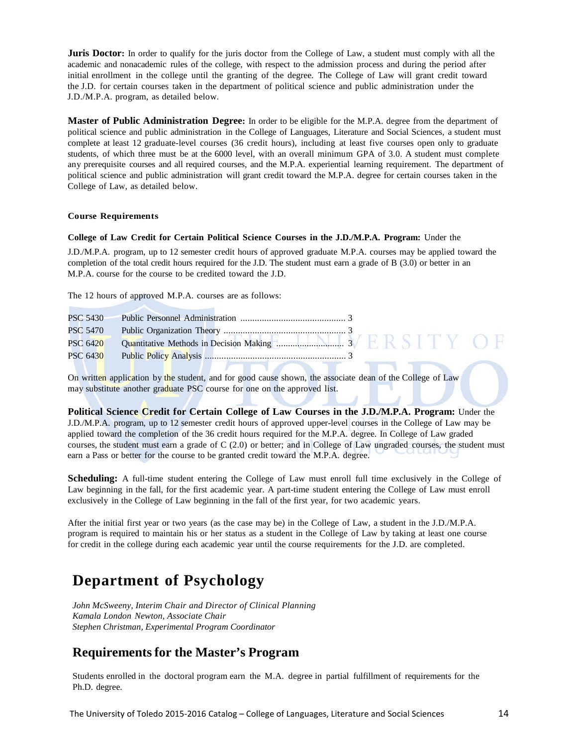**Juris Doctor:** In order to qualify for the juris doctor from the College of Law, a student must comply with all the academic and nonacademic rules of the college, with respect to the admission process and during the period after initial enrollment in the college until the granting of the degree. The College of Law will grant credit toward the J.D. for certain courses taken in the department of political science and public administration under the J.D./M.P.A. program, as detailed below.

**Master of Public Administration Degree:** In order to be eligible for the M.P.A. degree from the department of political science and public administration in the College of Languages, Literature and Social Sciences, a student must complete at least 12 graduate-level courses (36 credit hours), including at least five courses open only to graduate students, of which three must be at the 6000 level, with an overall minimum GPA of 3.0. A student must complete any prerequisite courses and all required courses, and the M.P.A. experiential learning requirement. The department of political science and public administration will grant credit toward the M.P.A. degree for certain courses taken in the College of Law, as detailed below.

### **Course Requirements**

### **College of Law Credit for Certain Political Science Courses in the J.D./M.P.A. Program:** Under the

J.D./M.P.A. program, up to 12 semester credit hours of approved graduate M.P.A. courses may be applied toward the completion of the total credit hours required for the J.D. The student must earn a grade of B (3.0) or better in an M.P.A. course for the course to be credited toward the J.D.

The 12 hours of approved M.P.A. courses are as follows:

| <b>PSC 6430</b> |  |
|-----------------|--|

On written application by the student, and for good cause shown, the associate dean of the College of Law may substitute another graduate PSC course for one on the approved list.

**Political Science Credit for Certain College of Law Courses in the J.D./M.P.A. Program:** Under the J.D./M.P.A. program, up to 12 semester credit hours of approved upper-level courses in the College of Law may be applied toward the completion of the 36 credit hours required for the M.P.A. degree. In College of Law graded courses, the student must earn a grade of C (2.0) or better; and in College of Law ungraded courses, the student must earn a Pass or better for the course to be granted credit toward the M.P.A. degree.

**Scheduling:** A full-time student entering the College of Law must enroll full time exclusively in the College of Law beginning in the fall, for the first academic year. A part-time student entering the College of Law must enroll exclusively in the College of Law beginning in the fall of the first year, for two academic years.

After the initial first year or two years (as the case may be) in the College of Law, a student in the J.D./M.P.A. program is required to maintain his or her status as a student in the College of Law by taking at least one course for credit in the college during each academic year until the course requirements for the J.D. are completed.

## **Department of Psychology**

*John McSweeny, Interim Chair and Director of Clinical Planning Kamala London Newton, Associate Chair Stephen Christman, Experimental Program Coordinator*

## **Requirements for the Master's Program**

Students enrolled in the doctoral program earn the M.A. degree in partial fulfillment of requirements for the Ph.D. degree.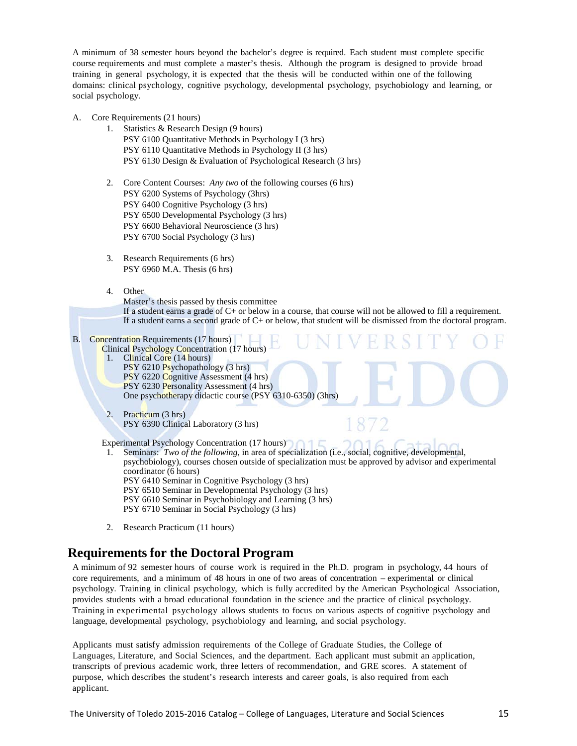A minimum of 38 semester hours beyond the bachelor's degree is required. Each student must complete specific course requirements and must complete a master's thesis. Although the program is designed to provide broad training in general psychology, it is expected that the thesis will be conducted within one of the following domains: clinical psychology, cognitive psychology, developmental psychology, psychobiology and learning, or social psychology.

- A. Core Requirements (21 hours)
	- 1. Statistics & Research Design (9 hours) PSY 6100 Quantitative Methods in Psychology I (3 hrs) PSY 6110 Quantitative Methods in Psychology II (3 hrs) PSY 6130 Design & Evaluation of Psychological Research (3 hrs)
	- 2. Core Content Courses: *Any two* of the following courses (6 hrs) PSY 6200 Systems of Psychology (3hrs) PSY 6400 Cognitive Psychology (3 hrs) PSY 6500 Developmental Psychology (3 hrs) PSY 6600 Behavioral Neuroscience (3 hrs) PSY 6700 Social Psychology (3 hrs)
	- 3. Research Requirements (6 hrs) PSY 6960 M.A. Thesis (6 hrs)
	- 4. Other
		- Master's thesis passed by thesis committee

If a student earns a grade of C+ or below in a course, that course will not be allowed to fill a requirement. If a student earns a second grade of C+ or below, that student will be dismissed from the doctoral program.

### B. Concentration Requirements (17 hours)

- Clinical Psychology Concentration (17 hours) 1. Clinical Core (14 hours) PSY 6210 Psychopathology (3 hrs) PSY 6220 Cognitive Assessment (4 hrs) PSY 6230 Personality Assessment (4 hrs) One psychotherapy didactic course (PSY 6310-6350) (3hrs)
- 2. Practicum (3 hrs) PSY 6390 Clinical Laboratory (3 hrs)

Experimental Psychology Concentration (17 hours)

- 1. Seminars: *Two of the following*, in area of specialization (i.e., social, cognitive, developmental, psychobiology), courses chosen outside of specialization must be approved by advisor and experimental coordinator (6 hours) PSY 6410 Seminar in Cognitive Psychology (3 hrs) PSY 6510 Seminar in Developmental Psychology (3 hrs) PSY 6610 Seminar in Psychobiology and Learning (3 hrs) PSY 6710 Seminar in Social Psychology (3 hrs)
- 2. Research Practicum (11 hours)

## **Requirements for the Doctoral Program**

A minimum of 92 semester hours of course work is required in the Ph.D. program in psychology, 44 hours of core requirements, and a minimum of 48 hours in one of two areas of concentration – experimental or clinical psychology. Training in clinical psychology, which is fully accredited by the American Psychological Association, provides students with a broad educational foundation in the science and the practice of clinical psychology. Training in experimental psychology allows students to focus on various aspects of cognitive psychology and language, developmental psychology, psychobiology and learning, and social psychology.

Applicants must satisfy admission requirements of the College of Graduate Studies, the College of Languages, Literature, and Social Sciences, and the department. Each applicant must submit an application, transcripts of previous academic work, three letters of recommendation, and GRE scores. A statement of purpose, which describes the student's research interests and career goals, is also required from each applicant.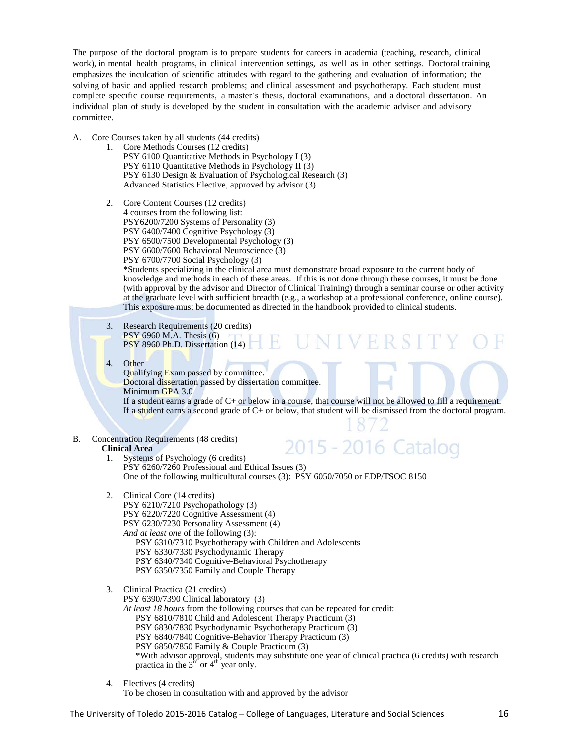The purpose of the doctoral program is to prepare students for careers in academia (teaching, research, clinical work), in mental health programs, in clinical intervention settings, as well as in other settings. Doctoral training emphasizes the inculcation of scientific attitudes with regard to the gathering and evaluation of information; the solving of basic and applied research problems; and clinical assessment and psychotherapy. Each student must complete specific course requirements, a master's thesis, doctoral examinations, and a doctoral dissertation. An individual plan of study is developed by the student in consultation with the academic adviser and advisory committee.

- A. Core Courses taken by all students (44 credits)
	- 1. Core Methods Courses (12 credits) PSY 6100 Quantitative Methods in Psychology I (3) PSY 6110 Quantitative Methods in Psychology II (3) PSY 6130 Design & Evaluation of Psychological Research (3) Advanced Statistics Elective, approved by advisor (3)
	- 2. Core Content Courses (12 credits) 4 courses from the following list: PSY6200/7200 Systems of Personality (3) PSY 6400/7400 Cognitive Psychology (3) PSY 6500/7500 Developmental Psychology (3) PSY 6600/7600 Behavioral Neuroscience (3) PSY 6700/7700 Social Psychology (3) \*Students specializing in the clinical area must demonstrate broad exposure to the current body of knowledge and methods in each of these areas. If this is not done through these courses, it must be done (with approval by the advisor and Director of Clinical Training) through a seminar course or other activity at the graduate level with sufficient breadth (e.g., a workshop at a professional conference, online course). This exposure must be documented as directed in the handbook provided to clinical students.
		- 3. Research Requirements (20 credits) PSY 6960 M.A. Thesis (6) PSY 8960 Ph.D. Dissertation (14)
		- 4. Other

Qualifying Exam passed by committee. Doctoral dissertation passed by dissertation committee. Minimum GPA 3.0

If a student earns a grade of C+ or below in a course, that course will not be allowed to fill a requirement. If a student earns a second grade of  $C<sub>+</sub>$  or below, that student will be dismissed from the doctoral program.

**UNIVERSIT** 

B. Concentration Requirements (48 credits)

### **Clinical Area**

2015 - 2016 Catalog 1. Systems of Psychology (6 credits) PSY 6260/7260 Professional and Ethical Issues (3) One of the following multicultural courses (3): PSY 6050/7050 or EDP/TSOC 8150

 $\mathbb{H}_{\mathbb{R}}$ 

- 2. Clinical Core (14 credits)
	- PSY 6210/7210 Psychopathology (3)
	- PSY 6220/7220 Cognitive Assessment (4)
	- PSY 6230/7230 Personality Assessment (4)
	- *And at least one* of the following (3): PSY 6310/7310 Psychotherapy with Children and Adolescents
		- PSY 6330/7330 Psychodynamic Therapy
		- PSY 6340/7340 Cognitive-Behavioral Psychotherapy
		- PSY 6350/7350 Family and Couple Therapy
- 3. Clinical Practica (21 credits)

PSY 6390/7390 Clinical laboratory (3)

- *At least 18 hours* from the following courses that can be repeated for credit:
	- PSY 6810/7810 Child and Adolescent Therapy Practicum (3)
	- PSY 6830/7830 Psychodynamic Psychotherapy Practicum (3)
	- PSY 6840/7840 Cognitive-Behavior Therapy Practicum (3)
	- PSY 6850/7850 Family & Couple Practicum (3)
	- \*With advisor approval, students may substitute one year of clinical practica (6 credits) with research practica in the  $3<sup>rd</sup>$  or  $4<sup>th</sup>$  year only.
- 4. Electives (4 credits)

To be chosen in consultation with and approved by the advisor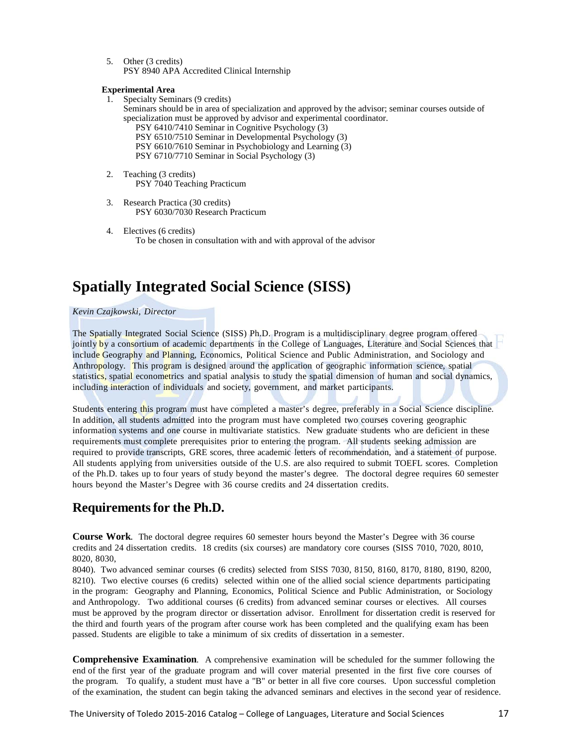5. Other (3 credits) PSY 8940 APA Accredited Clinical Internship

### **Experimental Area**

- 1. Specialty Seminars (9 credits) Seminars should be in area of specialization and approved by the advisor; seminar courses outside of specialization must be approved by advisor and experimental coordinator. PSY 6410/7410 Seminar in Cognitive Psychology (3) PSY 6510/7510 Seminar in Developmental Psychology (3) PSY 6610/7610 Seminar in Psychobiology and Learning (3) PSY 6710/7710 Seminar in Social Psychology (3) 2. Teaching (3 credits) PSY 7040 Teaching Practicum
- 3. Research Practica (30 credits) PSY 6030/7030 Research Practicum
- 4. Electives (6 credits) To be chosen in consultation with and with approval of the advisor

# **Spatially Integrated Social Science (SISS)**

### *Kevin Czajkowski, Director*

The Spatially Integrated Social Science (SISS) Ph.D. Program is a multidisciplinary degree program offered jointly by a consortium of academic departments in the College of Languages, Literature and Social Sciences that include Geography and Planning, Economics, Political Science and Public Administration, and Sociology and Anthropology. This program is designed around the application of geographic information science, spatial statistics, spatial econometrics and spatial analysis to study the spatial dimension of human and social dynamics, including interaction of individuals and society, government, and market participants.

Students entering this program must have completed a master's degree, preferably in a Social Science discipline. In addition, all students admitted into the program must have completed two courses covering geographic information systems and one course in multivariate statistics. New graduate students who are deficient in these requirements must complete prerequisites prior to entering the program. All students seeking admission are required to provide transcripts, GRE scores, three academic letters of recommendation, and a statement of purpose. All students applying from universities outside of the U.S. are also required to submit TOEFL scores. Completion of the Ph.D. takes up to four years of study beyond the master's degree. The doctoral degree requires 60 semester hours beyond the Master's Degree with 36 course credits and 24 dissertation credits.

## **Requirementsfor the Ph.D.**

**Course Work**. The doctoral degree requires 60 semester hours beyond the Master's Degree with 36 course credits and 24 dissertation credits. 18 credits (six courses) are mandatory core courses (SISS 7010, 7020, 8010, 8020, 8030,

8040). Two advanced seminar courses (6 credits) selected from SISS 7030, 8150, 8160, 8170, 8180, 8190, 8200, 8210). Two elective courses (6 credits) selected within one of the allied social science departments participating in the program: Geography and Planning, Economics, Political Science and Public Administration, or Sociology and Anthropology. Two additional courses (6 credits) from advanced seminar courses or electives. All courses must be approved by the program director or dissertation advisor. Enrollment for dissertation credit is reserved for the third and fourth years of the program after course work has been completed and the qualifying exam has been passed. Students are eligible to take a minimum of six credits of dissertation in a semester.

**Comprehensive Examination**. A comprehensive examination will be scheduled for the summer following the end of the first year of the graduate program and will cover material presented in the first five core courses of the program. To qualify, a student must have a "B" or better in all five core courses. Upon successful completion of the examination, the student can begin taking the advanced seminars and electives in the second year of residence.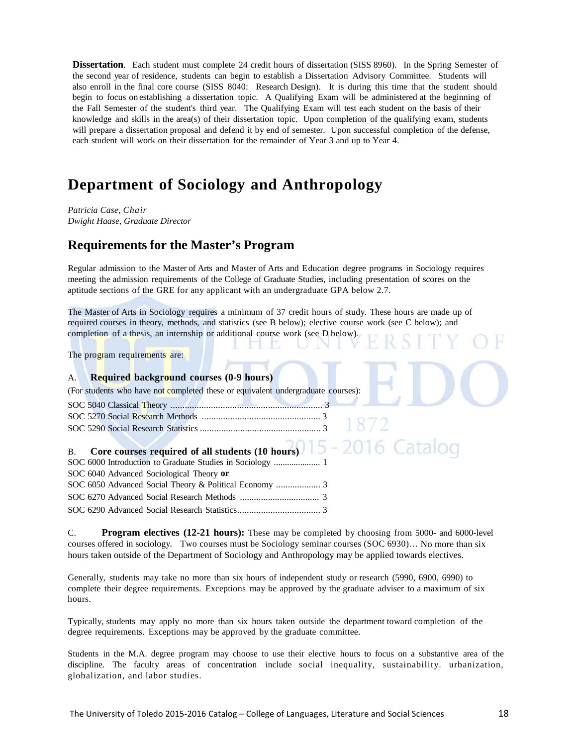**Dissertation**. Each student must complete 24 credit hours of dissertation (SISS 8960). In the Spring Semester of the second year of residence, students can begin to establish a Dissertation Advisory Committee. Students will also enroll in the final core course (SISS 8040: Research Design). It is during this time that the student should begin to focus on establishing a dissertation topic. A Qualifying Exam will be administered at the beginning of the Fall Semester of the student's third year. The Qualifying Exam will test each student on the basis of their knowledge and skills in the area(s) of their dissertation topic. Upon completion of the qualifying exam, students will prepare a dissertation proposal and defend it by end of semester. Upon successful completion of the defense, each student will work on their dissertation for the remainder of Year 3 and up to Year 4.

## **Department of Sociology and Anthropology**

*Patricia Case, Chair Dwight Haase, Graduate Director*

## **Requirements for the Master's Program**

Regular admission to the Master of Arts and Master of Arts and Education degree programs in Sociology requires meeting the admission requirements of the College of Graduate Studies, including presentation of scores on the aptitude sections of the GRE for any applicant with an undergraduate GPA below 2.7.

The Master of Arts in Sociology requires a minimum of 37 credit hours of study. These hours are made up of required courses in theory, methods, and statistics (see B below); elective course work (see C below); and completion of a thesis, an internship or additional course work (see D below).

The program requirements are:

### A. **Required background courses (0-9 hours)**

(For students who have not completed these or equivalent undergraduate courses):

| B. Core courses required of all students (10 hours) $15 - 2016$ |  |
|-----------------------------------------------------------------|--|
|                                                                 |  |
| SOC 6040 Advanced Sociological Theory or                        |  |
|                                                                 |  |

SOC 6270 Advanced Social Research Methods .................................. 3 SOC 6290 Advanced Social Research Statistics................................... 3

C. **Program electives (12-21 hours):** These may be completed by choosing from 5000- and 6000-level courses offered in sociology. Two courses must be Sociology seminar courses (SOC 6930)… No more than six hours taken outside of the Department of Sociology and Anthropology may be applied towards electives.

Generally, students may take no more than six hours of independent study or research (5990, 6900, 6990) to complete their degree requirements. Exceptions may be approved by the graduate adviser to a maximum of six hours.

Typically, students may apply no more than six hours taken outside the department toward completion of the degree requirements. Exceptions may be approved by the graduate committee.

Students in the M.A. degree program may choose to use their elective hours to focus on a substantive area of the discipline. The faculty areas of concentration include social inequality, sustainability. urbanization, globalization, and labor studies.